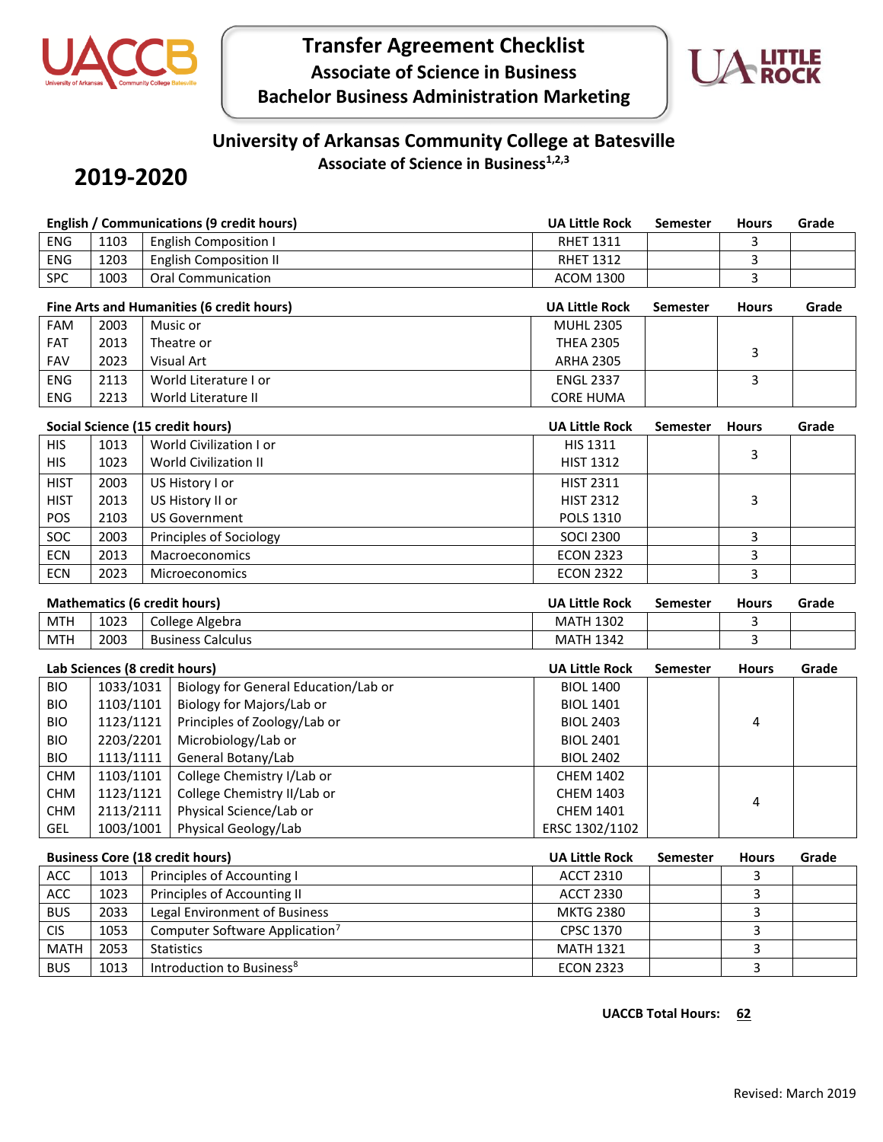

# **Transfer Agreement Checklist Associate of Science in Business Bachelor Business Administration Marketing**



#### **University of Arkansas Community College at Batesville Associate of Science in Business1,2,3**

## **2019-2020**

|                                        |                                     | <b>English / Communications (9 credit hours)</b> | <b>UA Little Rock</b> | <b>Semester</b> | <b>Hours</b> | Grade |  |  |
|----------------------------------------|-------------------------------------|--------------------------------------------------|-----------------------|-----------------|--------------|-------|--|--|
| ENG                                    | 1103                                | <b>English Composition I</b>                     | <b>RHET 1311</b>      |                 | 3            |       |  |  |
| ENG                                    | 1203                                | <b>English Composition II</b>                    | <b>RHET 1312</b>      |                 | 3            |       |  |  |
| <b>SPC</b>                             | 1003                                | <b>Oral Communication</b>                        | <b>ACOM 1300</b>      |                 | 3            |       |  |  |
|                                        |                                     | Fine Arts and Humanities (6 credit hours)        | <b>UA Little Rock</b> | Semester        | <b>Hours</b> | Grade |  |  |
| FAM                                    | 2003                                | Music or                                         | <b>MUHL 2305</b>      |                 |              |       |  |  |
| FAT                                    | 2013                                | Theatre or                                       | <b>THEA 2305</b>      |                 |              |       |  |  |
| <b>FAV</b>                             | 2023                                | <b>Visual Art</b>                                | <b>ARHA 2305</b>      |                 | 3            |       |  |  |
| <b>ENG</b>                             | 2113                                | World Literature I or                            | <b>ENGL 2337</b>      |                 | 3            |       |  |  |
| <b>ENG</b>                             | 2213                                | World Literature II                              | <b>CORE HUMA</b>      |                 |              |       |  |  |
|                                        |                                     | Social Science (15 credit hours)                 | <b>UA Little Rock</b> | Semester        | <b>Hours</b> | Grade |  |  |
| <b>HIS</b>                             | 1013                                | World Civilization I or                          | HIS 1311              |                 |              |       |  |  |
| <b>HIS</b>                             | 1023                                | World Civilization II                            | <b>HIST 1312</b>      |                 | 3            |       |  |  |
| <b>HIST</b>                            | 2003                                | US History I or                                  | <b>HIST 2311</b>      |                 |              |       |  |  |
| <b>HIST</b>                            | 2013                                | US History II or                                 | <b>HIST 2312</b>      |                 | 3            |       |  |  |
| POS                                    | 2103                                | <b>US Government</b>                             | POLS 1310             |                 |              |       |  |  |
| SOC                                    | 2003                                | Principles of Sociology                          | <b>SOCI 2300</b>      |                 | 3            |       |  |  |
| <b>ECN</b>                             | 2013                                | Macroeconomics                                   | <b>ECON 2323</b>      |                 | 3            |       |  |  |
| <b>ECN</b>                             | 2023                                | Microeconomics                                   | <b>ECON 2322</b>      |                 | 3            |       |  |  |
|                                        |                                     |                                                  | <b>UA Little Rock</b> |                 |              |       |  |  |
|                                        | <b>Mathematics (6 credit hours)</b> |                                                  |                       | Semester        | <b>Hours</b> | Grade |  |  |
| <b>MTH</b>                             | 1023                                | College Algebra                                  | <b>MATH 1302</b>      |                 | 3            |       |  |  |
| <b>MTH</b>                             | 2003                                | <b>Business Calculus</b>                         | <b>MATH 1342</b>      |                 | 3            |       |  |  |
| Lab Sciences (8 credit hours)          |                                     |                                                  | <b>UA Little Rock</b> | <b>Semester</b> | <b>Hours</b> | Grade |  |  |
| <b>BIO</b>                             | 1033/1031                           | Biology for General Education/Lab or             | <b>BIOL 1400</b>      |                 |              |       |  |  |
| <b>BIO</b>                             | 1103/1101                           | Biology for Majors/Lab or                        | <b>BIOL 1401</b>      |                 |              |       |  |  |
| <b>BIO</b>                             | 1123/1121                           | Principles of Zoology/Lab or                     | <b>BIOL 2403</b>      |                 | 4            |       |  |  |
| <b>BIO</b>                             | 2203/2201                           | Microbiology/Lab or                              | <b>BIOL 2401</b>      |                 |              |       |  |  |
| <b>BIO</b>                             | 1113/1111                           | General Botany/Lab                               | <b>BIOL 2402</b>      |                 |              |       |  |  |
| <b>CHM</b>                             | 1103/1101                           | College Chemistry I/Lab or                       | <b>CHEM 1402</b>      |                 |              |       |  |  |
| <b>CHM</b>                             | 1123/1121                           | College Chemistry II/Lab or                      | <b>CHEM 1403</b>      |                 | 4            |       |  |  |
| <b>CHM</b>                             | 2113/2111                           | Physical Science/Lab or                          | <b>CHEM 1401</b>      |                 |              |       |  |  |
| <b>GEL</b>                             | 1003/1001                           | Physical Geology/Lab                             | ERSC 1302/1102        |                 |              |       |  |  |
| <b>Business Core (18 credit hours)</b> |                                     |                                                  | <b>UA Little Rock</b> | <b>Semester</b> | <b>Hours</b> | Grade |  |  |
| ACC                                    | 1013                                | Principles of Accounting I                       | <b>ACCT 2310</b>      |                 | 3            |       |  |  |
| ACC                                    | 1023                                | Principles of Accounting II                      | <b>ACCT 2330</b>      |                 | 3            |       |  |  |
| <b>BUS</b>                             | 2033                                | Legal Environment of Business                    | <b>MKTG 2380</b>      |                 | 3            |       |  |  |
| <b>CIS</b>                             | 1053                                | Computer Software Application <sup>7</sup>       | CPSC 1370             |                 | 3            |       |  |  |
| <b>MATH</b>                            | 2053                                | <b>Statistics</b>                                | <b>MATH 1321</b>      |                 | 3            |       |  |  |
| <b>BUS</b>                             | 1013                                | Introduction to Business <sup>8</sup>            | <b>ECON 2323</b>      |                 | 3            |       |  |  |

#### **UACCB Total Hours: 62**